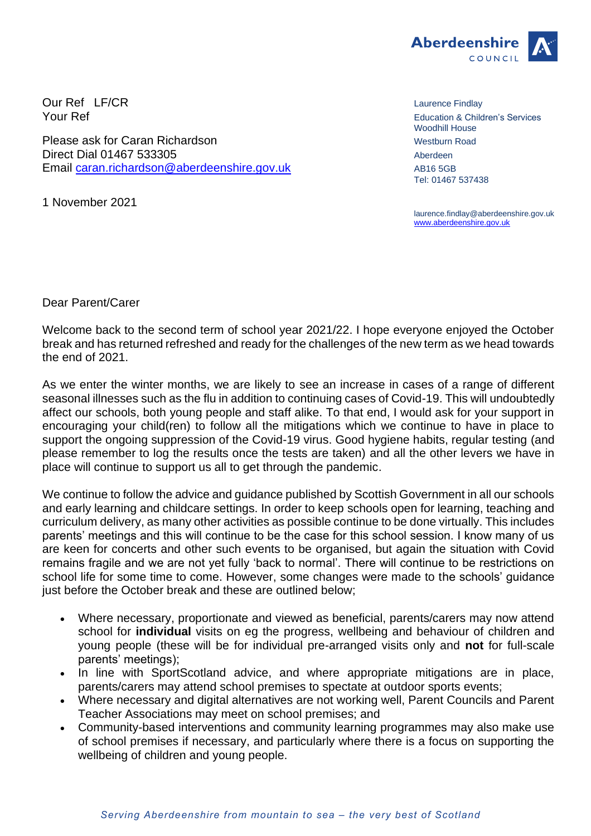

Our Ref LF/CR Laurence Findlay<br>
Your Ref LET LAURENCE LAURENCE LAURENCE LAURENCE LAURENCE LAURENCE LAURENCE LAURENCE LAURENCE LAURENCE LAUREN<br>
Felication & Child

Please ask for Caran Richardson Messlering Contract Contract Contract Messlering Road Direct Dial 01467 533305 Aberdeen Aberdeen Aberdeen Aberdeen Aberdeen Aberdeen Aberdeen Aberdeen Aberdeen Aberdeen Aberdeen Aberdeen Aberdeen Aberdeen Aberdeen Aberdeen Aberdeen Aberdeen Aberdeen Aberdeen Aberdeen Aberdeen Email [caran.richardson@aberdeenshire.gov.uk](mailto:caran.richardson@aberdeenshire.gov.uk) AB16 5GB

1 November 2021

Education & Children's Services Woodhill House Tel: 01467 537438

laurence.findlay@aberdeenshire.gov.uk [www.aberdeenshire.gov.uk](http://www.aberdeenshire.gov.uk/)

Dear Parent/Carer

Welcome back to the second term of school year 2021/22. I hope everyone enjoyed the October break and has returned refreshed and ready for the challenges of the new term as we head towards the end of 2021.

As we enter the winter months, we are likely to see an increase in cases of a range of different seasonal illnesses such as the flu in addition to continuing cases of Covid-19. This will undoubtedly affect our schools, both young people and staff alike. To that end, I would ask for your support in encouraging your child(ren) to follow all the mitigations which we continue to have in place to support the ongoing suppression of the Covid-19 virus. Good hygiene habits, regular testing (and please remember to log the results once the tests are taken) and all the other levers we have in place will continue to support us all to get through the pandemic.

We continue to follow the advice and guidance published by Scottish Government in all our schools and early learning and childcare settings. In order to keep schools open for learning, teaching and curriculum delivery, as many other activities as possible continue to be done virtually. This includes parents' meetings and this will continue to be the case for this school session. I know many of us are keen for concerts and other such events to be organised, but again the situation with Covid remains fragile and we are not yet fully 'back to normal'. There will continue to be restrictions on school life for some time to come. However, some changes were made to the schools' guidance just before the October break and these are outlined below;

- Where necessary, proportionate and viewed as beneficial, parents/carers may now attend school for **individual** visits on eg the progress, wellbeing and behaviour of children and young people (these will be for individual pre-arranged visits only and **not** for full-scale parents' meetings);
- In line with SportScotland advice, and where appropriate mitigations are in place, parents/carers may attend school premises to spectate at outdoor sports events;
- Where necessary and digital alternatives are not working well, Parent Councils and Parent Teacher Associations may meet on school premises; and
- Community-based interventions and community learning programmes may also make use of school premises if necessary, and particularly where there is a focus on supporting the wellbeing of children and young people.